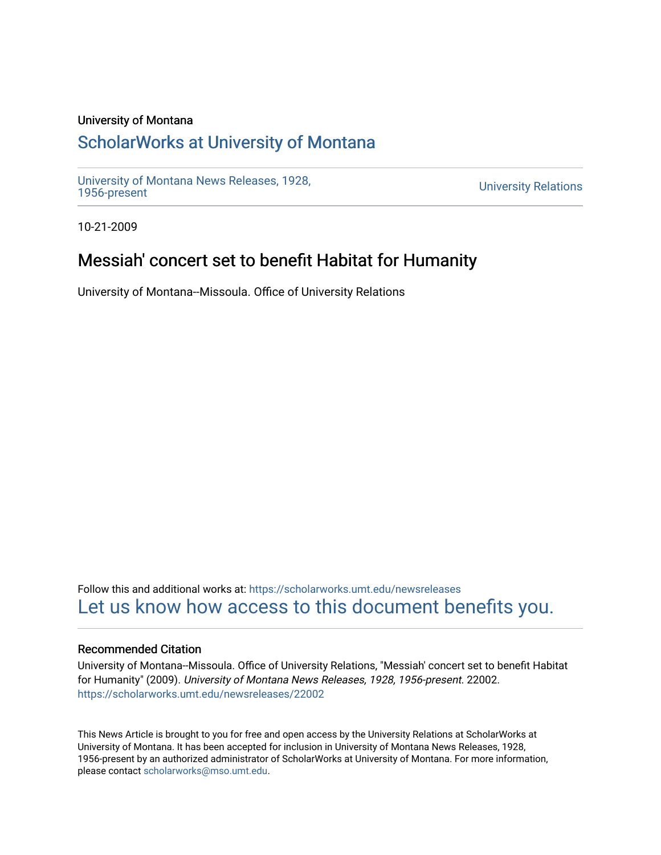### University of Montana

# [ScholarWorks at University of Montana](https://scholarworks.umt.edu/)

[University of Montana News Releases, 1928,](https://scholarworks.umt.edu/newsreleases) 

**University Relations** 

10-21-2009

# Messiah' concert set to benefit Habitat for Humanity

University of Montana--Missoula. Office of University Relations

Follow this and additional works at: [https://scholarworks.umt.edu/newsreleases](https://scholarworks.umt.edu/newsreleases?utm_source=scholarworks.umt.edu%2Fnewsreleases%2F22002&utm_medium=PDF&utm_campaign=PDFCoverPages) [Let us know how access to this document benefits you.](https://goo.gl/forms/s2rGfXOLzz71qgsB2) 

### Recommended Citation

University of Montana--Missoula. Office of University Relations, "Messiah' concert set to benefit Habitat for Humanity" (2009). University of Montana News Releases, 1928, 1956-present. 22002. [https://scholarworks.umt.edu/newsreleases/22002](https://scholarworks.umt.edu/newsreleases/22002?utm_source=scholarworks.umt.edu%2Fnewsreleases%2F22002&utm_medium=PDF&utm_campaign=PDFCoverPages) 

This News Article is brought to you for free and open access by the University Relations at ScholarWorks at University of Montana. It has been accepted for inclusion in University of Montana News Releases, 1928, 1956-present by an authorized administrator of ScholarWorks at University of Montana. For more information, please contact [scholarworks@mso.umt.edu.](mailto:scholarworks@mso.umt.edu)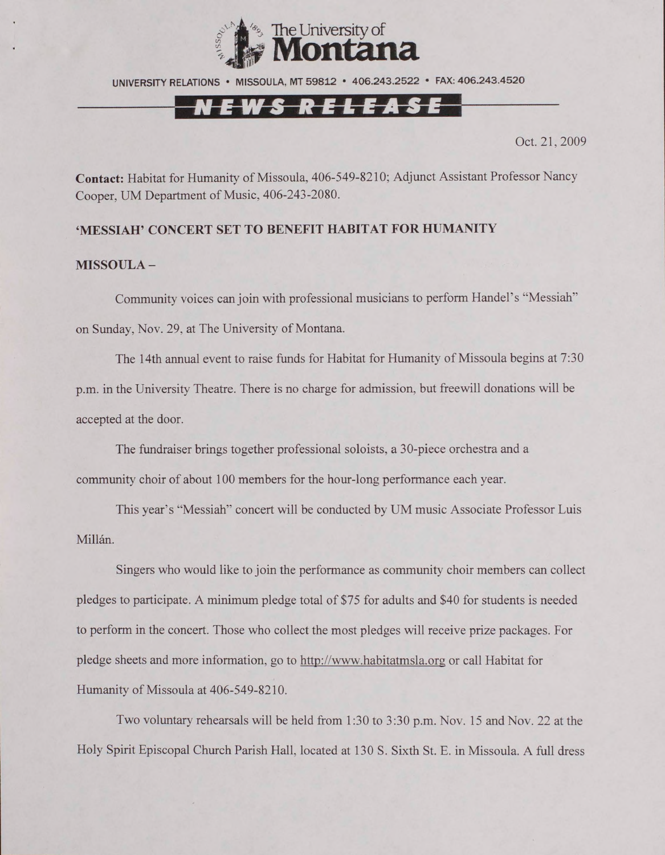

UNIVERSITY RELATIONS • MISSOULA. MT 59812 • 406.243.2522 • FAX: 406.243.4520

## <u>N E W S R E L E A S E</u>

Oct. 21,2009

**Contact:** Habitat for Humanity of Missoula, 406-549-8210; Adjunct Assistant Professor Nancy Cooper, UM Department of Music, 406-243-2080.

#### **'MESSIAH' CONCERT SET TO BENEFIT HABITAT FOR HUMANITY**

#### **MISSOULA -**

Community voices can join with professional musicians to perform Handel's "Messiah" on Sunday, Nov. 29. at The University of Montana.

The 14th annual event to raise funds for Habitat for Humanity of Missoula begins at 7:30 p.m. in the University Theatre. There is no charge for admission, but freewill donations will be accepted at the door.

The fundraiser brings together professional soloists, a 30-piece orchestra and a community choir of about 100 members for the hour-long performance each year.

This year's "Messiah" concert will be conducted by UM music Associate Professor Luis Millán.

Singers who would like to join the performance as community choir members can collect pledges to participate. A minimum pledge total of \$75 for adults and \$40 for students is needed to perform in the concert. Those who collect the most pledges will receive prize packages. For pledge sheets and more information, go to<http://www.habitatmsla.org>or call Habitat for Humanity of Missoula at 406-549-8210.

Two voluntary rehearsals will be held from 1:30 to 3:30 p.m. Nov. 15 and Nov. 22 at the Holy Spirit Episcopal Church Parish Hall, located at 130 S. Sixth St. E. in Missoula. A full dress